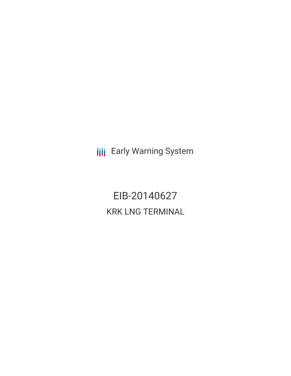**III** Early Warning System

EIB-20140627 KRK LNG TERMINAL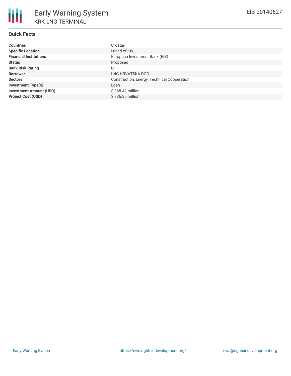# **Quick Facts**

| <b>Countries</b>               | Croatia                                     |
|--------------------------------|---------------------------------------------|
| <b>Specific Location</b>       | Island of Krk                               |
| <b>Financial Institutions</b>  | European Investment Bank (EIB)              |
| <b>Status</b>                  | Proposed                                    |
| <b>Bank Risk Rating</b>        |                                             |
| <b>Borrower</b>                | LNG HRVATSKA DOO                            |
| <b>Sectors</b>                 | Construction, Energy, Technical Cooperation |
| <b>Investment Type(s)</b>      | Loan                                        |
| <b>Investment Amount (USD)</b> | $$368.42$ million                           |
| <b>Project Cost (USD)</b>      | \$736.85 million                            |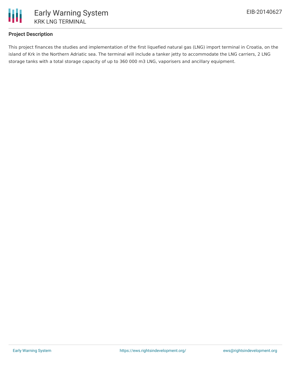

## **Project Description**

This project finances the studies and implementation of the first liquefied natural gas (LNG) import terminal in Croatia, on the island of Krk in the Northern Adriatic sea. The terminal will include a tanker jetty to accommodate the LNG carriers, 2 LNG storage tanks with a total storage capacity of up to 360 000 m3 LNG, vaporisers and ancillary equipment.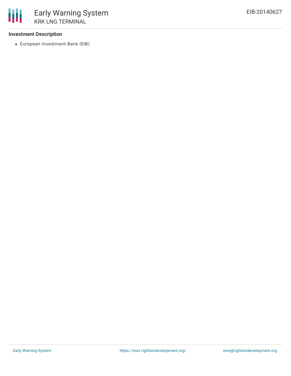### **Investment Description**

European Investment Bank (EIB)